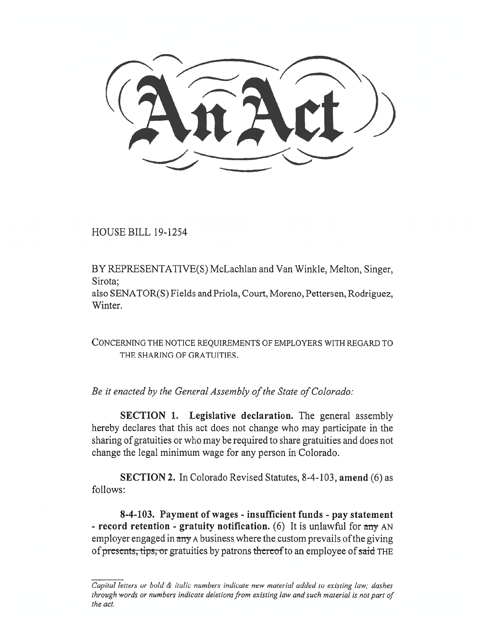,\_\_. --- -,----

HOUSE BILL 19-1254

BY REPRESENTATIVE(S) McLachlan and Van Winkle, Melton, Singer, Sirota;

also SENATOR(S) Fields and Priola, Court, Moreno, Pettersen, Rodriguez, Winter.

CONCERNING THE NOTICE REQUIREMENTS OF EMPLOYERS WITH REGARD TO THE SHARING OF GRATUITIES.

*Be it enacted by the General Assembly of the State of Colorado:* 

**SECTION 1.** Legislative declaration. The general assembly hereby declares that this act does not change who may participate in the sharing of gratuities or who may be required to share gratuities and does not change the legal minimum wage for any person in Colorado.

**SECTION 2.** In Colorado Revised Statutes, 8-4-103, **amend** (6) as follows:

**8-4-103. Payment of wages - insufficient funds - pay statement - record retention - gratuity notification.** (6) It is unlawful for any AN employer engaged in any A business where the custom prevails of the giving of presents, tips, or gratuities by patrons thereof to an employee of said THE

*Capital letters or bold & italic numbers indicate new material added to existing law; dashes through words or numbers indicate deletions from existing law and such material is not part of the act.*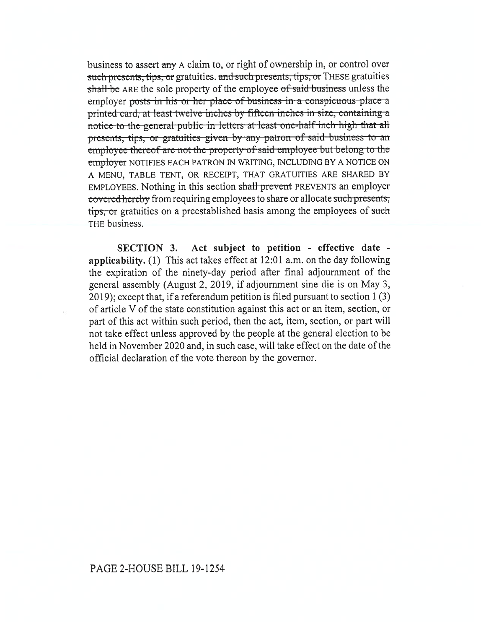business to assert any A claim to, or right of ownership in, or control over such presents, tips, or gratuities. and such presents, tips, or THESE gratuities shall be ARE the sole property of the employee of said business unless the employer posts in his or her place of business in a conspicuous-place a employer posts in ms or ner place or susmess in a completious place a printed card, at least twelve inches by fifteen inches in size, containing a notice to the general public in letters at least one-half inch high that all presents, tips, or gratuities given by any patron of said business to an employee thereof are not the property-of-said employee-but-belong-to-the employer NOTIFIES EACH PATRON IN WRITING, INCLUDING BY A NOTICE ON A MENU, TABLE TENT, OR RECEIPT, THAT GRATUITIES ARE SHARED BY EMPLOYEES. Nothing in this section shall prevent PREVENTS an employer covered hereby from requiring employees to share or allocate such presents, tips, or gratuities on a preestablished basis among the employees of such THE business.

**SECTION 3. Act subject to petition - effective date applicability.** (1) This act takes effect at 12:01 a.m. on the day following the expiration of the ninety-day period after final adjournment of the general assembly (August 2, 2019, if adjournment sine die is on May 3, 2019); except that, if a referendum petition is filed pursuant to section 1 (3) of article V of the state constitution against this act or an item, section, or part of this act within such period, then the act, item, section, or part will not take effect unless approved by the people at the general election to be held in November 2020 and, in such case, will take effect on the date of the official declaration of the vote thereon by the governor.